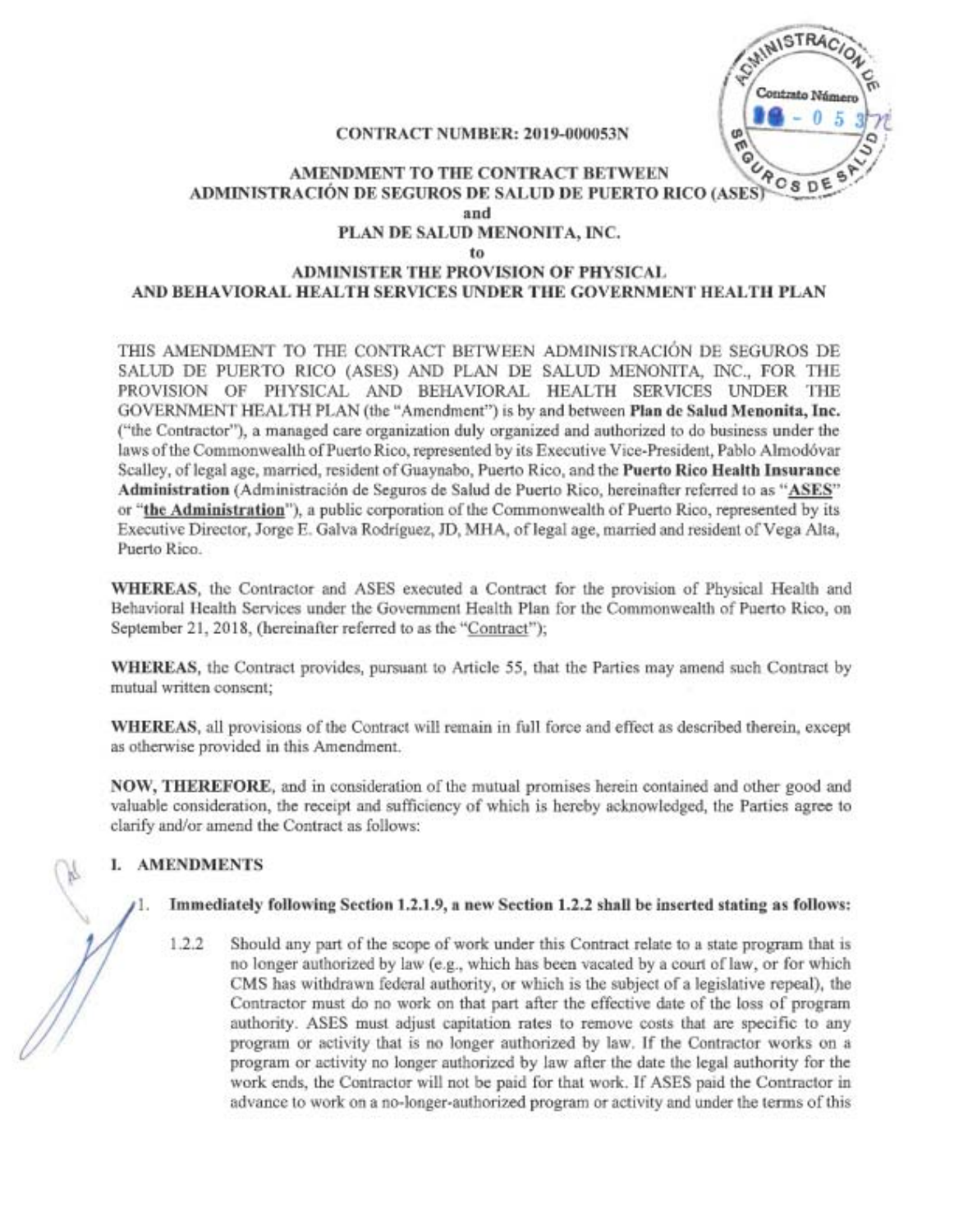



# AMENDMENT TO THE CONTRACT BETWEEN  $\rho_{OS}$ ADMINISTRACIÓN DE SEGUROS DE SALUD DE PUERTO RICO (ASES and PLAN DE SALUD MENONITA, INC. to

# ADMINISTER THE PROVISION OF PHYSICAL AND BEHAVIORAL HEALTH SERVICES UNDER THE GOVERNMENT HEALTH PLAN

THIS AMENDMENT TO THE CONTRACT BETWEEN ADMINISTRACION DE SEGUROS DE SALUD DE PUERTO RICO (ASES) AND PLAN DE SALUD MENONITA, INC., FOR THE PROVISION OF PHYSICAL AND BEHAVIORAL HEALTH SERVICES UNDER THE GOVERNMENT HEALTH PLAN (the "Amendment") is by and between Plan de Salud Menonita, Inc. ("the Contractor"), a managed care organization duly organized and authorized to do business under the laws of the Commonwealth of Puerto Rico, represented by its Executive Vice-President, Pablo Almodóvar Scalley, of legal age, married, resident of Guaynabo, Puerto Rico, and the Puerto Rico Health Insurance Administration (Administración de Seguros de Salud de Puerto Rico, hereinafter referred to as "ASES" or "the Administration"), a public corporation of the Commonwealth of Puerto Rico, represented by its Executive Director, Jorge E. Galva Rodríguez, JD, MHA, of legal age, married and resident of Vega Alta, Puerto Rico.

WHEREAS, the Contractor and ASES executed a Contract for the provision of Physical Health and Behavioral Health Services under the Government Health Plan for the Commonwealth of Puerto Rico, on September 21, 2018, (hereinafter referred to as the "Contract");

WHEREAS, the Contract provides, pursuant to Article 55, that the Parties may amend such Contract by mutual written consent;

WHEREAS, all provisions of the Contract will remain in full force and effect as described therein, except as otherwise provided in this Amendment.

NOW, THEREFORE, and in consideration of the mutual promises herein contained and other good and valuable consideration, the receipt and sufficiency of which is hereby acknowledged, the Parties agree to clarify and/or amend the Contract as follows:

# I. AMENDMENTS

# 1. Immediately following Section 1.2.1.9, a new Section 1.2.2 shall be inserted stating as follows:

1.2.2 Should any part of the scope of work under this Contract relate to a state program that is no longer authorized by law (e.g., which has been vacated by a court oflaw, or for which CMS has withdrawn federal authority, or which is the subject of a legislative repeal), the Contractor must do no work on that part after the effective date of the loss of program authority. ASES must adjust capitation rates to remove costs that are specific to any program or activity that is no longer authorized by law. If the Contractor works on a program or activity no longer authorized by law after the date the legal authority for the work ends, the Contractor will not be paid for that work. If ASES paid the Contractor in advance to work on a no-longer-authorized program or activity and under the terms of this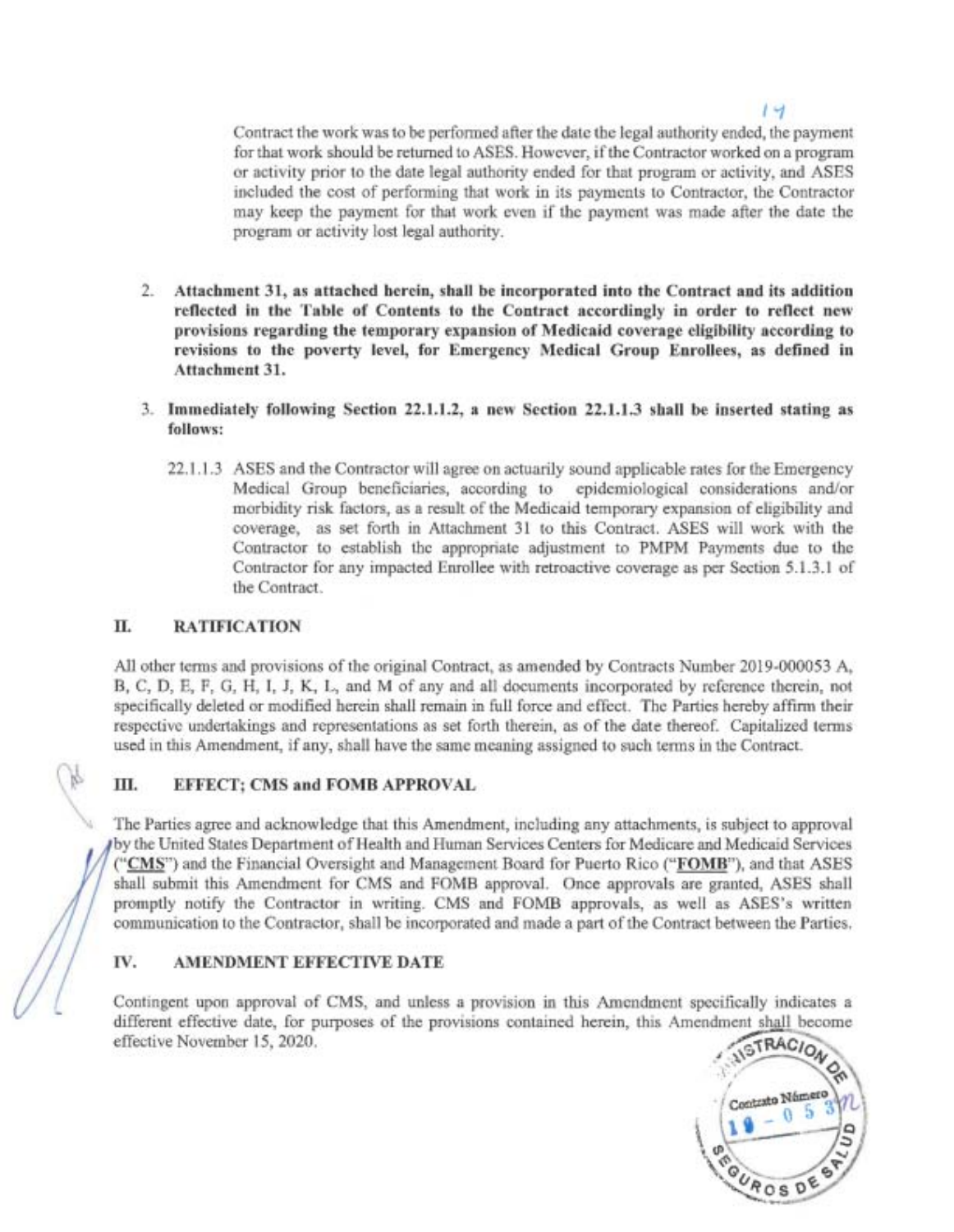Contract the work was to be perfonued after the date the legal authority ended, the payment for that work should be returned to ASES. However, if the Contractor worked on a program or activity prior to the date legal authority ended for that program or activity, and ASES included the cost of perfonuing that work in its payments to Contractor, the Contractor may keep the payment for that work even if the payment was made after the date the program or activity lost legal authority.

- 2. Attachment 31, as attached herein, shall be incorporated into the Contract and its addition reflected in the Table of Contents to the Contract accordingly in order to reflect new provisions regarding the temporary expansion of Medicaid coverage eligibility according to revisions to the poverty level, for Emergency Medical Group Enrollees, as defined in Attachment 31.
- 3. Immediately following Section 22.1.1.2, a new Section 22.1.1.3 shall be inserted stating as follows:
	- 22.1.1.3 ASES and the Contractor will agree on actuarily sound applicable rates for the Emergency Medical Group beneficiaries, according to epidemiological considerations and/or morbidity risk factors, as a result of the Medicaid temporary expansion of eligibility and coverage, as set forth in Attachment 31 to this Contract. ASES will work with the Contractor to establish the appropriate adjustment to PMPM Payments due to the Contractor for any impacted Enrollee with retroactive coverage as per Section 5.1.3.1 of the Contract.

# II. RATIFICATION

All other terms and provisions of the original Contract, as amended by Contracts Number 2019-000053 A, B, C, D, E, F, G, H, I, J, K, L, and M of any and all documents incorporated by reference therein, not specifically deleted or modified herein shall remain in full force and effect. The Parties hereby affinu their respective undertakings and representations as set forth therein, as of the date thereof. Capitalized tenus used in this Amendment, if any, shall have the same meaning assigned to such tenus in the Contract.

# III. EFFECT; CMS and FOMB APPROVAL

The Parties agree and acknowledge that this Amendment, including any attachments, is subject to approval by the United States Department of Health and Human Services Centers for Medicare and Medicaid Services ("CMS") and the Financial Oversight and Management Board for Puerto Rico ("FOMB"), and that ASES shall submit this Amendment for CMS and FOMB approval. Once approvals are granted, ASES shall promptly notify the Contractor in writing. CMS and FOME approvals, as well as ASES's written communication to the Contractor, shall be incorporated and made a part ofthe Contract between the Parties.

#### IV. AMENDMENT EFFECTIVE DATE

Contingent upon approval of CMS, and unless a provision in this Amendment specifically indicates a different effective date, for purposes of the provisions contained herein, this Amendment shall become effective November 15, 2020. effective November 15, 2020.



*1'1*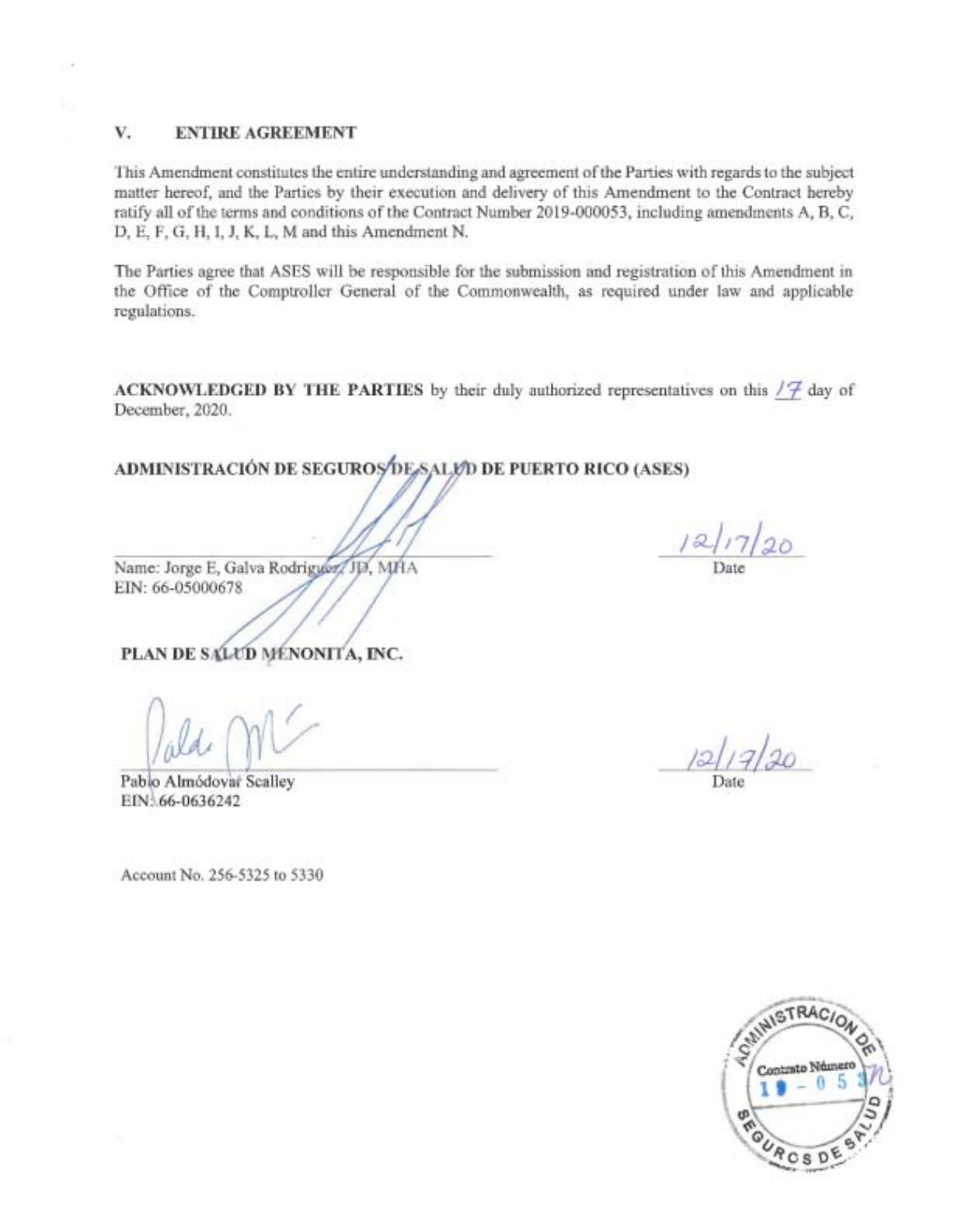#### V. ENTIRE AGREEMENT

This Amendment constitutes the entire understanding and agreement ofthe Parties with regards to the subject matter hereof, and the Parties by their execution and delivery of this Amendment to the Contract hereby ratify all of the terms and conditions of the Contract Number 2019-000053, including amendments A, B, C, D, E, F, G, H, I, J, K, L, M and this Amendment N.

The Parties agree that ASES will be responsible for the submission and registration of this Amendment in the Office of the Comptroller General of the Commonwealth, as required under law and applicable regulations.

ACKNOWLEDGED BY THE PARTIES by their duly authorized representatives on this  $\sqrt{\frac{1}{f}}$  day of December, 2020.

# ADMINISTRACIÓN DE SEGUROS DE SALVD DE PUERTO RICO (ASES)

Name: Jorge E, Galva Rodriguer, JD, MHA EIN: 66-05000678

PLAN DE SALUD MÉNONITA, INC.

Pablo Almódovař Scalley EIN. 66-0636242

Date

STRACIO Contrato Númer **Rosp** 

Account No. 256-5325 to 5330